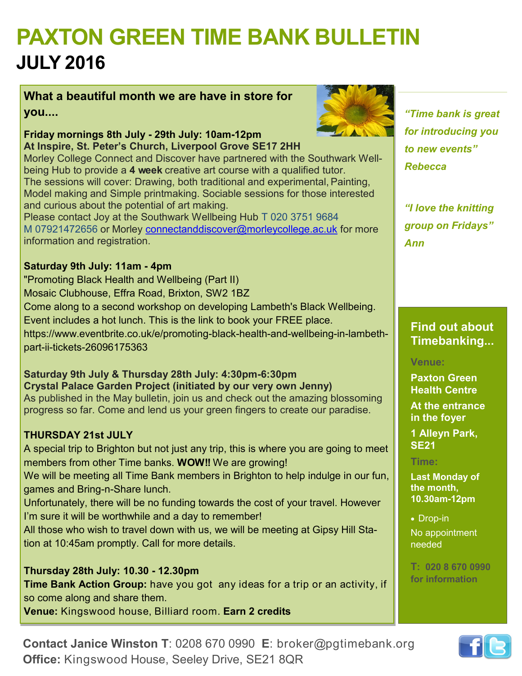# **PAXTON GREEN TIME BANK BULLETIN JULY 2016**

**What a beautiful month we are have in store for you....**



**Friday mornings 8th July - 29th July: 10am-12pm At Inspire, St. Peter's Church, Liverpool Grove SE17 2HH**

Morley College Connect and Discover have partnered with the Southwark Wellbeing Hub to provide a **4 week** creative art course with a qualified tutor. The sessions will cover: Drawing, both traditional and experimental,Painting, Model making and Simple printmaking. Sociable sessions for those interested and curious about the potential of art making.

Please contact Joy at the Southwark Wellbeing Hub T 020 3751 9684 M 07921472656 or Morley [connectanddiscover@morleycollege.ac.uk](mailto:connectanddiscover@morleycollege.ac.uk) for more information and registration.

#### **Saturday 9th July: 11am - 4pm**

"Promoting Black Health and Wellbeing (Part II) Mosaic Clubhouse, Effra Road, Brixton, SW2 1BZ Come along to a second workshop on developing Lambeth's Black Wellbeing. Event includes a hot lunch. This is the link to book your FREE place. https://www.eventbrite.co.uk/e/promoting-black-health-and-wellbeing-in-lambethpart-ii-tickets-26096175363

**Saturday 9th July & Thursday 28th July: 4:30pm-6:30pm Crystal Palace Garden Project (initiated by our very own Jenny)** As published in the May bulletin, join us and check out the amazing blossoming progress so far. Come and lend us your green fingers to create our paradise.

### **THURSDAY 21st JULY**

A special trip to Brighton but not just any trip, this is where you are going to meet members from other Time banks. **WOW!!** We are growing! We will be meeting all Time Bank members in Brighton to help indulge in our fun, games and Bring-n-Share lunch. Unfortunately, there will be no funding towards the cost of your travel. However I'm sure it will be worthwhile and a day to remember! All those who wish to travel down with us, we will be meeting at Gipsy Hill Sta-

tion at 10:45am promptly. Call for more details.

### **Thursday 28th July: 10.30 - 12.30pm**

**Time Bank Action Group:** have you got any ideas for a trip or an activity, if so come along and share them.

**Venue:** Kingswood house, Billiard room. **Earn 2 credits**

### *"Time bank is great for introducing you to new events" Rebecca*

*"I love the knitting group on Fridays" Ann* 

**Find out about Timebanking...** 

### **Venue:**

**Paxton Green Health Centre** 

**At the entrance in the foyer**

**1 Alleyn Park, SE21**

### **Time:**

**Last Monday of the month, 10.30am-12pm**

• Drop-in No appointment needed

**T: 020 8 670 0990 for information**